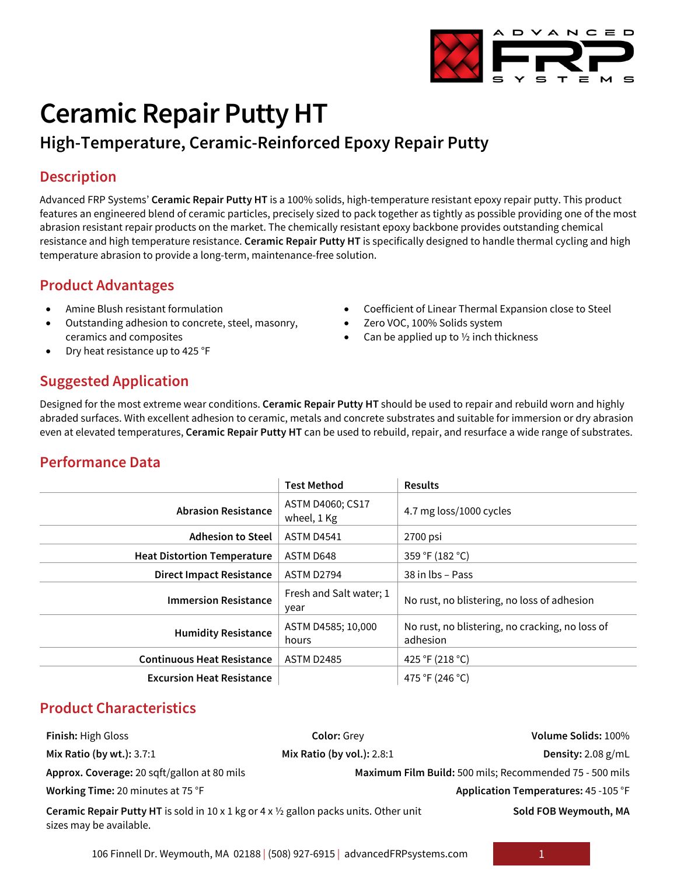

# **Ceramic Repair Putty HT**

# **High-Temperature, Ceramic-Reinforced Epoxy Repair Putty**

### **Description**

Advanced FRP Systems' **Ceramic Repair Putty HT** is a 100% solids, high-temperature resistant epoxy repair putty. This product features an engineered blend of ceramic particles, precisely sized to pack together as tightly as possible providing one of the most abrasion resistant repair products on the market. The chemically resistant epoxy backbone provides outstanding chemical resistance and high temperature resistance. **Ceramic Repair Putty HT** is specifically designed to handle thermal cycling and high temperature abrasion to provide a long-term, maintenance-free solution.

# **Product Advantages**

- Amine Blush resistant formulation
- Outstanding adhesion to concrete, steel, masonry, ceramics and composites
- Dry heat resistance up to 425 °F

# • Coefficient of Linear Thermal Expansion close to Steel

- Zero VOC, 100% Solids system
- Can be applied up to  $\frac{1}{2}$  inch thickness

# **Suggested Application**

Designed for the most extreme wear conditions. **Ceramic Repair Putty HT** should be used to repair and rebuild worn and highly abraded surfaces. With excellent adhesion to ceramic, metals and concrete substrates and suitable for immersion or dry abrasion even at elevated temperatures, **Ceramic Repair Putty HT** can be used to rebuild, repair, and resurface a wide range of substrates.

#### **Performance Data**

|                                    | <b>Test Method</b>              | <b>Results</b>                                              |  |
|------------------------------------|---------------------------------|-------------------------------------------------------------|--|
| <b>Abrasion Resistance</b>         | ASTM D4060; CS17<br>wheel, 1 Kg | 4.7 mg loss/1000 cycles                                     |  |
| <b>Adhesion to Steel</b>           | <b>ASTM D4541</b>               | 2700 psi                                                    |  |
| <b>Heat Distortion Temperature</b> | ASTM D648                       | 359 °F (182 °C)                                             |  |
| <b>Direct Impact Resistance</b>    | ASTM D2794                      | 38 in lbs - Pass                                            |  |
| <b>Immersion Resistance</b>        | Fresh and Salt water; 1<br>year | No rust, no blistering, no loss of adhesion                 |  |
| <b>Humidity Resistance</b>         | ASTM D4585; 10,000<br>hours     | No rust, no blistering, no cracking, no loss of<br>adhesion |  |
| <b>Continuous Heat Resistance</b>  | <b>ASTM D2485</b>               | 425 °F (218 °C)                                             |  |
| <b>Excursion Heat Resistance</b>   |                                 | 475 °F (246 °C)                                             |  |

#### **Product Characteristics**

| Finish: High Gloss                                                                                                                     | <b>Color: Grey</b>         | Volume Solids: 100%                                     |
|----------------------------------------------------------------------------------------------------------------------------------------|----------------------------|---------------------------------------------------------|
| Mix Ratio (by wt.): 3.7:1                                                                                                              | Mix Ratio (by vol.): 2.8:1 | Density: $2.08$ g/mL                                    |
| Approx. Coverage: 20 sqft/gallon at 80 mils                                                                                            |                            | Maximum Film Build: 500 mils; Recommended 75 - 500 mils |
| Working Time: 20 minutes at 75 °F                                                                                                      |                            | Application Temperatures: 45 - 105 °F                   |
| <b>Ceramic Repair Putty HT</b> is sold in $10 \times 1$ kg or $4 \times 1/2$ gallon packs units. Other unit<br>sizes may be available. |                            | Sold FOB Weymouth, MA                                   |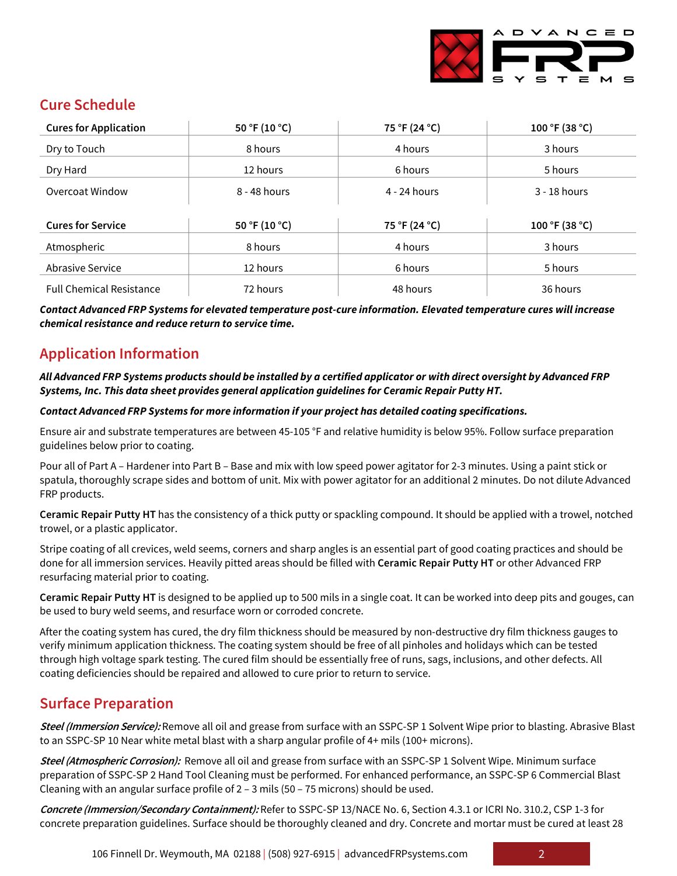

# **Cure Schedule**

| <b>Cures for Application</b>    | 50 °F (10 °C)  | 75 °F (24 °C) | 100 °F (38 °C) |
|---------------------------------|----------------|---------------|----------------|
| Dry to Touch                    | 8 hours        | 4 hours       | 3 hours        |
| Dry Hard                        | 12 hours       | 6 hours       | 5 hours        |
| Overcoat Window                 | $8 - 48$ hours | 4 - 24 hours  | $3 - 18$ hours |
|                                 |                |               |                |
| <b>Cures for Service</b>        | 50 °F (10 °C)  | 75 °F (24 °C) | 100 °F (38 °C) |
| Atmospheric                     | 8 hours        | 4 hours       | 3 hours        |
| Abrasive Service                | 12 hours       | 6 hours       | 5 hours        |
| <b>Full Chemical Resistance</b> | 72 hours       | 48 hours      | 36 hours       |

*Contact Advanced FRP Systems for elevated temperature post-cure information. Elevated temperature cures will increase chemical resistance and reduce return to service time.*

# **Application Information**

*All Advanced FRP Systems products should be installed by a certified applicator or with direct oversight by Advanced FRP Systems, Inc. This data sheet provides general application guidelines for Ceramic Repair Putty HT.*

#### *Contact Advanced FRP Systems for more information if your project has detailed coating specifications.*

Ensure air and substrate temperatures are between 45-105 °F and relative humidity is below 95%. Follow surface preparation guidelines below prior to coating.

Pour all of Part A – Hardener into Part B – Base and mix with low speed power agitator for 2-3 minutes. Using a paint stick or spatula, thoroughly scrape sides and bottom of unit. Mix with power agitator for an additional 2 minutes. Do not dilute Advanced FRP products.

**Ceramic Repair Putty HT** has the consistency of a thick putty or spackling compound. It should be applied with a trowel, notched trowel, or a plastic applicator.

Stripe coating of all crevices, weld seems, corners and sharp angles is an essential part of good coating practices and should be done for all immersion services. Heavily pitted areas should be filled with **Ceramic Repair Putty HT** or other Advanced FRP resurfacing material prior to coating.

**Ceramic Repair Putty HT** is designed to be applied up to 500 mils in a single coat. It can be worked into deep pits and gouges, can be used to bury weld seems, and resurface worn or corroded concrete.

After the coating system has cured, the dry film thickness should be measured by non-destructive dry film thickness gauges to verify minimum application thickness. The coating system should be free of all pinholes and holidays which can be tested through high voltage spark testing. The cured film should be essentially free of runs, sags, inclusions, and other defects. All coating deficiencies should be repaired and allowed to cure prior to return to service.

# **Surface Preparation**

**Steel (Immersion Service):** Remove all oil and grease from surface with an SSPC-SP 1 Solvent Wipe prior to blasting. Abrasive Blast to an SSPC-SP 10 Near white metal blast with a sharp angular profile of 4+ mils (100+ microns).

**Steel (Atmospheric Corrosion):** Remove all oil and grease from surface with an SSPC-SP 1 Solvent Wipe. Minimum surface preparation of SSPC-SP 2 Hand Tool Cleaning must be performed. For enhanced performance, an SSPC-SP 6 Commercial Blast Cleaning with an angular surface profile of 2 – 3 mils (50 – 75 microns) should be used.

**Concrete (Immersion/Secondary Containment):** Refer to SSPC-SP 13/NACE No. 6, Section 4.3.1 or ICRI No. 310.2, CSP 1-3 for concrete preparation guidelines. Surface should be thoroughly cleaned and dry. Concrete and mortar must be cured at least 28